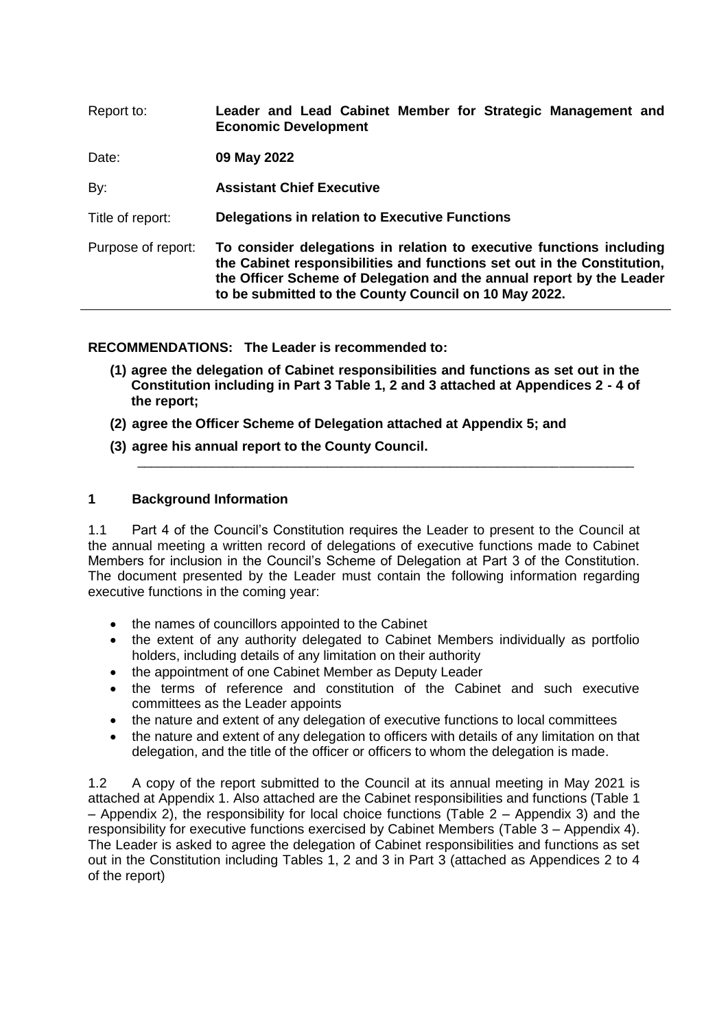| Leader and Lead Cabinet Member for Strategic Management and<br><b>Economic Development</b>                                                                                                                                                                                       |
|----------------------------------------------------------------------------------------------------------------------------------------------------------------------------------------------------------------------------------------------------------------------------------|
| 09 May 2022                                                                                                                                                                                                                                                                      |
| <b>Assistant Chief Executive</b>                                                                                                                                                                                                                                                 |
| Delegations in relation to Executive Functions                                                                                                                                                                                                                                   |
| To consider delegations in relation to executive functions including<br>the Cabinet responsibilities and functions set out in the Constitution,<br>the Officer Scheme of Delegation and the annual report by the Leader<br>to be submitted to the County Council on 10 May 2022. |
|                                                                                                                                                                                                                                                                                  |

**RECOMMENDATIONS: The Leader is recommended to:** 

**(1) agree the delegation of Cabinet responsibilities and functions as set out in the Constitution including in Part 3 Table 1, 2 and 3 attached at Appendices 2 - 4 of the report;**

\_\_\_\_\_\_\_\_\_\_\_\_\_\_\_\_\_\_\_\_\_\_\_\_\_\_\_\_\_\_\_\_\_\_\_\_\_\_\_\_\_\_\_\_\_\_\_\_\_\_\_\_\_\_\_\_\_\_\_\_\_\_\_\_\_\_\_\_\_\_\_\_\_

- **(2) agree the Officer Scheme of Delegation attached at Appendix 5; and**
- **(3) agree his annual report to the County Council.**

## **1 Background Information**

1.1 Part 4 of the Council's Constitution requires the Leader to present to the Council at the annual meeting a written record of delegations of executive functions made to Cabinet Members for inclusion in the Council's Scheme of Delegation at Part 3 of the Constitution. The document presented by the Leader must contain the following information regarding executive functions in the coming year:

- the names of councillors appointed to the Cabinet
- the extent of any authority delegated to Cabinet Members individually as portfolio holders, including details of any limitation on their authority
- the appointment of one Cabinet Member as Deputy Leader
- the terms of reference and constitution of the Cabinet and such executive committees as the Leader appoints
- the nature and extent of any delegation of executive functions to local committees
- the nature and extent of any delegation to officers with details of any limitation on that delegation, and the title of the officer or officers to whom the delegation is made.

1.2 A copy of the report submitted to the Council at its annual meeting in May 2021 is attached at Appendix 1. Also attached are the Cabinet responsibilities and functions (Table 1 – Appendix 2), the responsibility for local choice functions (Table 2 – Appendix 3) and the responsibility for executive functions exercised by Cabinet Members (Table 3 – Appendix 4). The Leader is asked to agree the delegation of Cabinet responsibilities and functions as set out in the Constitution including Tables 1, 2 and 3 in Part 3 (attached as Appendices 2 to 4 of the report)